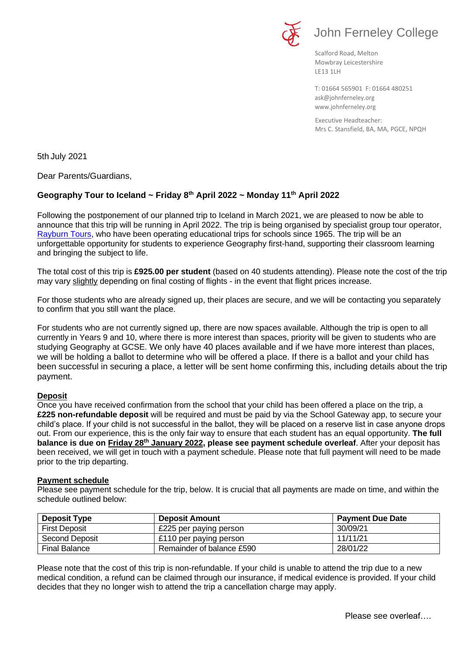



Scalford Road, Melton Mowbray Leicestershire LE13 1LH

[ask@johnferneley.org](mailto:ask@johnferneley.org) [www.johnferneley.org](http://www.johnferneley.org/) T: 01664 565901 F: 01664 480251

 Executive Headteacher: Mrs C. Stansfield, BA, MA, PGCE, NPQH

5th July 2021

Dear Parents/Guardians,

# **Geography Tour to Iceland ~ Friday 8th April 2022 ~ Monday 11th April 2022**

Following the postponement of our planned trip to Iceland in March 2021, we are pleased to now be able to announce that this trip will be running in April 2022. The trip is being organised by specialist group tour operator, [Rayburn Tours,](https://www.rayburntours.com/) who have been operating educational trips for schools since 1965. The trip will be an unforgettable opportunity for students to experience Geography first-hand, supporting their classroom learning and bringing the subject to life.

The total cost of this trip is **£925.00 per student** (based on 40 students attending). Please note the cost of the trip may vary slightly depending on final costing of flights - in the event that flight prices increase.

For those students who are already signed up, their places are secure, and we will be contacting you separately to confirm that you still want the place.

For students who are not currently signed up, there are now spaces available. Although the trip is open to all currently in Years 9 and 10, where there is more interest than spaces, priority will be given to students who are studying Geography at GCSE. We only have 40 places available and if we have more interest than places, we will be holding a ballot to determine who will be offered a place. If there is a ballot and your child has been successful in securing a place, a letter will be sent home confirming this, including details about the trip payment.

#### **Deposit**

Once you have received confirmation from the school that your child has been offered a place on the trip, a **£225 non-refundable deposit** will be required and must be paid by via the School Gateway app, to secure your child's place. If your child is not successful in the ballot, they will be placed on a reserve list in case anyone drops out. From our experience, this is the only fair way to ensure that each student has an equal opportunity. **The full balance is due on Friday 28<sup>th</sup> January 2022, please see payment schedule overleaf. After your deposit has** been received, we will get in touch with a payment schedule. Please note that full payment will need to be made prior to the trip departing.

#### **Payment schedule**

Please see payment schedule for the trip, below. It is crucial that all payments are made on time, and within the schedule outlined below:

| <b>Deposit Type</b>   | <b>Deposit Amount</b>     | <b>Payment Due Date</b> |
|-----------------------|---------------------------|-------------------------|
| <b>First Deposit</b>  | £225 per paying person    | 30/09/21                |
| <b>Second Deposit</b> | £110 per paying person    | 11/11/21                |
| <b>Final Balance</b>  | Remainder of balance £590 | 28/01/22                |

Please note that the cost of this trip is non-refundable. If your child is unable to attend the trip due to a new medical condition, a refund can be claimed through our insurance, if medical evidence is provided. If your child decides that they no longer wish to attend the trip a cancellation charge may apply.